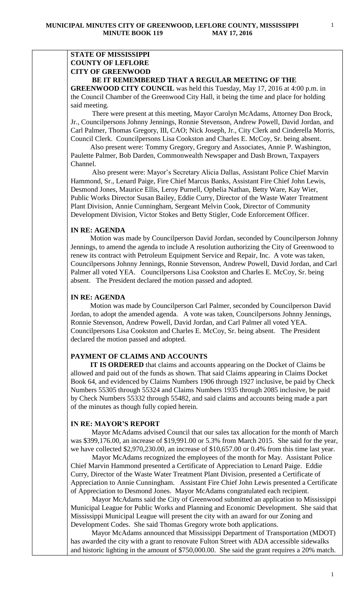# **STATE OF MISSISSIPPI COUNTY OF LEFLORE CITY OF GREENWOOD**

### **BE IT REMEMBERED THAT A REGULAR MEETING OF THE**

**GREENWOOD CITY COUNCIL** was held this Tuesday, May 17, 2016 at 4:00 p.m. in the Council Chamber of the Greenwood City Hall, it being the time and place for holding said meeting.

There were present at this meeting, Mayor Carolyn McAdams, Attorney Don Brock, Jr., Councilpersons Johnny Jennings, Ronnie Stevenson, Andrew Powell, David Jordan, and Carl Palmer, Thomas Gregory, III, CAO; Nick Joseph, Jr., City Clerk and Cinderella Morris, Council Clerk. Councilpersons Lisa Cookston and Charles E. McCoy, Sr. being absent.

 Also present were: Tommy Gregory, Gregory and Associates, Annie P. Washington, Paulette Palmer, Bob Darden, Commonwealth Newspaper and Dash Brown, Taxpayers Channel.

 Also present were: Mayor's Secretary Alicia Dallas, Assistant Police Chief Marvin Hammond, Sr., Lenard Paige, Fire Chief Marcus Banks, Assistant Fire Chief John Lewis, Desmond Jones, Maurice Ellis, Leroy Purnell, Ophelia Nathan, Betty Ware, Kay Wier, Public Works Director Susan Bailey, Eddie Curry, Director of the Waste Water Treatment Plant Division, Annie Cunningham, Sergeant Melvin Cook, Director of Community Development Division, Victor Stokes and Betty Stigler, Code Enforcement Officer.

#### **IN RE: AGENDA**

 Motion was made by Councilperson David Jordan, seconded by Councilperson Johnny Jennings, to amend the agenda to include A resolution authorizing the City of Greenwood to renew its contract with Petroleum Equipment Service and Repair, Inc. A vote was taken, Councilpersons Johnny Jennings, Ronnie Stevenson, Andrew Powell, David Jordan, and Carl Palmer all voted YEA. Councilpersons Lisa Cookston and Charles E. McCoy, Sr. being absent. The President declared the motion passed and adopted.

#### **IN RE: AGENDA**

 Motion was made by Councilperson Carl Palmer, seconded by Councilperson David Jordan, to adopt the amended agenda. A vote was taken, Councilpersons Johnny Jennings, Ronnie Stevenson, Andrew Powell, David Jordan, and Carl Palmer all voted YEA. Councilpersons Lisa Cookston and Charles E. McCoy, Sr. being absent. The President declared the motion passed and adopted.

## **PAYMENT OF CLAIMS AND ACCOUNTS**

 **IT IS ORDERED** that claims and accounts appearing on the Docket of Claims be allowed and paid out of the funds as shown. That said Claims appearing in Claims Docket Book 64, and evidenced by Claims Numbers 1906 through 1927 inclusive, be paid by Check Numbers 55305 through 55324 and Claims Numbers 1935 through 2085 inclusive, be paid by Check Numbers 55332 through 55482, and said claims and accounts being made a part of the minutes as though fully copied herein.

#### **IN RE: MAYOR'S REPORT**

 Mayor McAdams advised Council that our sales tax allocation for the month of March was \$399,176.00, an increase of \$19,991.00 or 5.3% from March 2015. She said for the year, we have collected \$2,970,230.00, an increase of \$10,657.00 or 0.4% from this time last year.

 Mayor McAdams recognized the employees of the month for May. Assistant Police Chief Marvin Hammond presented a Certificate of Appreciation to Lenard Paige. Eddie Curry, Director of the Waste Water Treatment Plant Division, presented a Certificate of Appreciation to Annie Cunningham. Assistant Fire Chief John Lewis presented a Certificate of Appreciation to Desmond Jones. Mayor McAdams congratulated each recipient.

 Mayor McAdams said the City of Greenwood submitted an application to Mississippi Municipal League for Public Works and Planning and Economic Development. She said that Mississippi Municipal League will present the city with an award for our Zoning and Development Codes. She said Thomas Gregory wrote both applications.

 Mayor McAdams announced that Mississippi Department of Transportation (MDOT) has awarded the city with a grant to renovate Fulton Street with ADA accessible sidewalks and historic lighting in the amount of \$750,000.00. She said the grant requires a 20% match.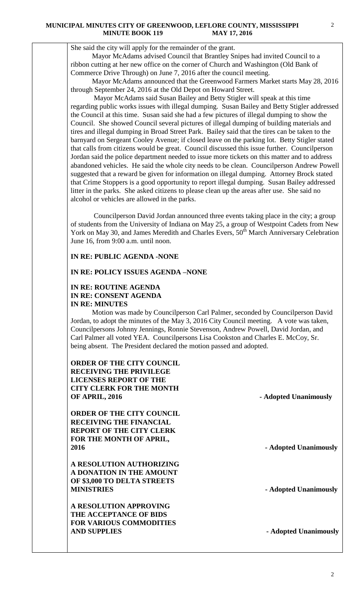She said the city will apply for the remainder of the grant.

 Mayor McAdams advised Council that Brantley Snipes had invited Council to a ribbon cutting at her new office on the corner of Church and Washington (Old Bank of Commerce Drive Through) on June 7, 2016 after the council meeting.

 Mayor McAdams announced that the Greenwood Farmers Market starts May 28, 2016 through September 24, 2016 at the Old Depot on Howard Street.

 Mayor McAdams said Susan Bailey and Betty Stigler will speak at this time regarding public works issues with illegal dumping. Susan Bailey and Betty Stigler addressed the Council at this time. Susan said she had a few pictures of illegal dumping to show the Council. She showed Council several pictures of illegal dumping of building materials and tires and illegal dumping in Broad Street Park. Bailey said that the tires can be taken to the barnyard on Sergeant Cooley Avenue; if closed leave on the parking lot. Betty Stigler stated that calls from citizens would be great. Council discussed this issue further. Councilperson Jordan said the police department needed to issue more tickets on this matter and to address abandoned vehicles. He said the whole city needs to be clean. Councilperson Andrew Powell suggested that a reward be given for information on illegal dumping. Attorney Brock stated that Crime Stoppers is a good opportunity to report illegal dumping. Susan Bailey addressed litter in the parks. She asked citizens to please clean up the areas after use. She said no alcohol or vehicles are allowed in the parks.

 Councilperson David Jordan announced three events taking place in the city; a group of students from the University of Indiana on May 25, a group of Westpoint Cadets from New York on May 30, and James Meredith and Charles Evers, 50<sup>th</sup> March Anniversary Celebration June 16, from 9:00 a.m. until noon.

### **IN RE: PUBLIC AGENDA -NONE**

#### **IN RE: POLICY ISSUES AGENDA –NONE**

### **IN RE: ROUTINE AGENDA IN RE: CONSENT AGENDA IN RE: MINUTES**

 Motion was made by Councilperson Carl Palmer, seconded by Councilperson David Jordan, to adopt the minutes of the May 3, 2016 City Council meeting. A vote was taken, Councilpersons Johnny Jennings, Ronnie Stevenson, Andrew Powell, David Jordan, and Carl Palmer all voted YEA. Councilpersons Lisa Cookston and Charles E. McCoy, Sr. being absent. The President declared the motion passed and adopted.

**ORDER OF THE CITY COUNCIL RECEIVING THE PRIVILEGE LICENSES REPORT OF THE CITY CLERK FOR THE MONTH OF APRIL, 2016 - Adopted Unanimously**

**ORDER OF THE CITY COUNCIL RECEIVING THE FINANCIAL REPORT OF THE CITY CLERK FOR THE MONTH OF APRIL, 2016 - Adopted Unanimously**

**A RESOLUTION AUTHORIZING A DONATION IN THE AMOUNT OF \$3,000 TO DELTA STREETS MINISTRIES - Adopted Unanimously**

**A RESOLUTION APPROVING THE ACCEPTANCE OF BIDS FOR VARIOUS COMMODITIES AND SUPPLIES - Adopted Unanimously**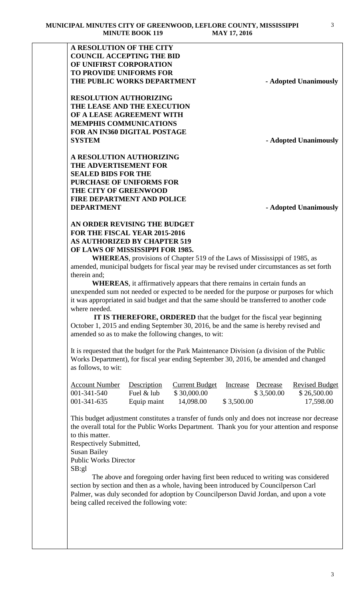| A RESOLUTION OF THE CITY                                                                       |                       |
|------------------------------------------------------------------------------------------------|-----------------------|
| <b>COUNCIL ACCEPTING THE BID</b>                                                               |                       |
| OF UNIFIRST CORPORATION                                                                        |                       |
| TO PROVIDE UNIFORMS FOR                                                                        |                       |
| THE PUBLIC WORKS DEPARTMENT<br>- Adopted Unanimously                                           |                       |
| <b>RESOLUTION AUTHORIZING</b>                                                                  |                       |
| THE LEASE AND THE EXECUTION                                                                    |                       |
| OF A LEASE AGREEMENT WITH                                                                      |                       |
| <b>MEMPHIS COMMUNICATIONS</b>                                                                  |                       |
| FOR AN IN360 DIGITAL POSTAGE                                                                   |                       |
| <b>SYSTEM</b><br>- Adopted Unanimously                                                         |                       |
|                                                                                                |                       |
| A RESOLUTION AUTHORIZING                                                                       |                       |
| THE ADVERTISEMENT FOR                                                                          |                       |
| <b>SEALED BIDS FOR THE</b>                                                                     |                       |
| <b>PURCHASE OF UNIFORMS FOR</b>                                                                |                       |
| THE CITY OF GREENWOOD                                                                          |                       |
| <b>FIRE DEPARTMENT AND POLICE</b>                                                              |                       |
| <b>DEPARTMENT</b><br>- Adopted Unanimously                                                     |                       |
|                                                                                                |                       |
| AN ORDER REVISING THE BUDGET<br>FOR THE FISCAL YEAR 2015-2016                                  |                       |
| <b>AS AUTHORIZED BY CHAPTER 519</b>                                                            |                       |
| OF LAWS OF MISSISSIPPI FOR 1985.                                                               |                       |
| <b>WHEREAS</b> , provisions of Chapter 519 of the Laws of Mississippi of 1985, as              |                       |
| amended, municipal budgets for fiscal year may be revised under circumstances as set forth     |                       |
| therein and;                                                                                   |                       |
| <b>WHEREAS</b> , it affirmatively appears that there remains in certain funds an               |                       |
| unexpended sum not needed or expected to be needed for the purpose or purposes for which       |                       |
| it was appropriated in said budget and that the same should be transferred to another code     |                       |
| where needed.                                                                                  |                       |
| <b>IT IS THEREFORE, ORDERED</b> that the budget for the fiscal year beginning                  |                       |
| October 1, 2015 and ending September 30, 2016, be and the same is hereby revised and           |                       |
| amended so as to make the following changes, to wit:                                           |                       |
|                                                                                                |                       |
| It is requested that the budget for the Park Maintenance Division (a division of the Public    |                       |
| Works Department), for fiscal year ending September 30, 2016, be amended and changed           |                       |
| as follows, to wit:                                                                            |                       |
| <b>Account Number</b><br>Description<br><b>Current Budget</b><br>Increase<br>Decrease          | <b>Revised Budget</b> |
| 001-341-540<br>Fuel & lub<br>\$30,000.00<br>\$3,500.00                                         | \$26,500.00           |
| 001-341-635<br>Equip maint<br>14,098.00<br>\$3,500.00                                          | 17,598.00             |
|                                                                                                |                       |
| This budget adjustment constitutes a transfer of funds only and does not increase nor decrease |                       |
| the overall total for the Public Works Department. Thank you for your attention and response   |                       |
| to this matter.                                                                                |                       |
| Respectively Submitted,                                                                        |                       |
| <b>Susan Bailey</b>                                                                            |                       |
| <b>Public Works Director</b>                                                                   |                       |
| SB:gl                                                                                          |                       |
| The above and foregoing order having first been reduced to writing was considered              |                       |
| section by section and then as a whole, having been introduced by Councilperson Carl           |                       |
| Palmer, was duly seconded for adoption by Councilperson David Jordan, and upon a vote          |                       |
| being called received the following vote:                                                      |                       |
|                                                                                                |                       |
|                                                                                                |                       |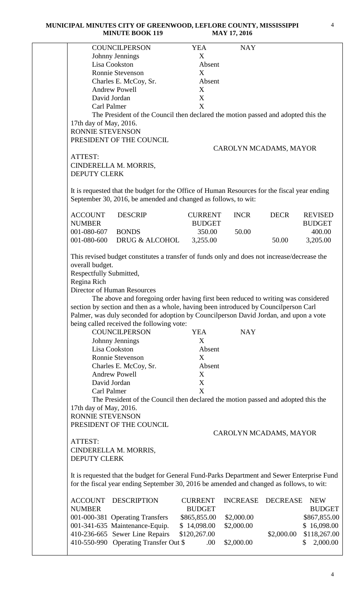#### **MUNICIPAL MINUTES CITY OF GREENWOOD, LEFLORE COUNTY, MISSISSIPPI MINUTE BOOK 119 MAY 17, 2016**

|                                                                                                                                                                                | <b>COUNCILPERSON</b>                                                                                                                                                                                                                                                                                                                                                                                                                                                                                                                             | <b>YEA</b>                                              | <b>NAY</b>                           |                 |                             |
|--------------------------------------------------------------------------------------------------------------------------------------------------------------------------------|--------------------------------------------------------------------------------------------------------------------------------------------------------------------------------------------------------------------------------------------------------------------------------------------------------------------------------------------------------------------------------------------------------------------------------------------------------------------------------------------------------------------------------------------------|---------------------------------------------------------|--------------------------------------|-----------------|-----------------------------|
|                                                                                                                                                                                | Johnny Jennings                                                                                                                                                                                                                                                                                                                                                                                                                                                                                                                                  | X                                                       |                                      |                 |                             |
| Lisa Cookston                                                                                                                                                                  |                                                                                                                                                                                                                                                                                                                                                                                                                                                                                                                                                  | Absent                                                  |                                      |                 |                             |
|                                                                                                                                                                                | Ronnie Stevenson                                                                                                                                                                                                                                                                                                                                                                                                                                                                                                                                 | X                                                       |                                      |                 |                             |
|                                                                                                                                                                                | Charles E. McCoy, Sr.                                                                                                                                                                                                                                                                                                                                                                                                                                                                                                                            | Absent                                                  |                                      |                 |                             |
|                                                                                                                                                                                | <b>Andrew Powell</b>                                                                                                                                                                                                                                                                                                                                                                                                                                                                                                                             | X                                                       |                                      |                 |                             |
| David Jordan                                                                                                                                                                   |                                                                                                                                                                                                                                                                                                                                                                                                                                                                                                                                                  | X                                                       |                                      |                 |                             |
| Carl Palmer                                                                                                                                                                    |                                                                                                                                                                                                                                                                                                                                                                                                                                                                                                                                                  | X                                                       |                                      |                 |                             |
|                                                                                                                                                                                | The President of the Council then declared the motion passed and adopted this the                                                                                                                                                                                                                                                                                                                                                                                                                                                                |                                                         |                                      |                 |                             |
| 17th day of May, 2016.                                                                                                                                                         |                                                                                                                                                                                                                                                                                                                                                                                                                                                                                                                                                  |                                                         |                                      |                 |                             |
| RONNIE STEVENSON                                                                                                                                                               |                                                                                                                                                                                                                                                                                                                                                                                                                                                                                                                                                  |                                                         |                                      |                 |                             |
|                                                                                                                                                                                | PRESIDENT OF THE COUNCIL                                                                                                                                                                                                                                                                                                                                                                                                                                                                                                                         |                                                         |                                      |                 |                             |
|                                                                                                                                                                                |                                                                                                                                                                                                                                                                                                                                                                                                                                                                                                                                                  |                                                         | CAROLYN MCADAMS, MAYOR               |                 |                             |
| ATTEST:                                                                                                                                                                        |                                                                                                                                                                                                                                                                                                                                                                                                                                                                                                                                                  |                                                         |                                      |                 |                             |
| CINDERELLA M. MORRIS,                                                                                                                                                          |                                                                                                                                                                                                                                                                                                                                                                                                                                                                                                                                                  |                                                         |                                      |                 |                             |
| <b>DEPUTY CLERK</b>                                                                                                                                                            |                                                                                                                                                                                                                                                                                                                                                                                                                                                                                                                                                  |                                                         |                                      |                 |                             |
|                                                                                                                                                                                |                                                                                                                                                                                                                                                                                                                                                                                                                                                                                                                                                  |                                                         |                                      |                 |                             |
|                                                                                                                                                                                | It is requested that the budget for the Office of Human Resources for the fiscal year ending<br>September 30, 2016, be amended and changed as follows, to wit:                                                                                                                                                                                                                                                                                                                                                                                   |                                                         |                                      |                 |                             |
|                                                                                                                                                                                |                                                                                                                                                                                                                                                                                                                                                                                                                                                                                                                                                  |                                                         |                                      |                 |                             |
| <b>ACCOUNT</b>                                                                                                                                                                 | <b>DESCRIP</b>                                                                                                                                                                                                                                                                                                                                                                                                                                                                                                                                   | <b>CURRENT</b>                                          | <b>INCR</b>                          | <b>DECR</b>     | <b>REVISED</b>              |
| <b>NUMBER</b>                                                                                                                                                                  |                                                                                                                                                                                                                                                                                                                                                                                                                                                                                                                                                  | <b>BUDGET</b>                                           |                                      |                 | <b>BUDGET</b>               |
| 001-080-607                                                                                                                                                                    | <b>BONDS</b>                                                                                                                                                                                                                                                                                                                                                                                                                                                                                                                                     | 350.00                                                  | 50.00                                |                 | 400.00                      |
| 001-080-600                                                                                                                                                                    | DRUG & ALCOHOL                                                                                                                                                                                                                                                                                                                                                                                                                                                                                                                                   | 3,255.00                                                |                                      | 50.00           | 3,205.00                    |
| Respectfully Submitted,<br>Regina Rich<br>Director of Human Resources<br>Lisa Cookston<br>David Jordan<br>Carl Palmer<br>17th day of May, 2016.<br>RONNIE STEVENSON<br>ATTEST: | The above and foregoing order having first been reduced to writing was considered<br>section by section and then as a whole, having been introduced by Councilperson Carl<br>Palmer, was duly seconded for adoption by Councilperson David Jordan, and upon a vote<br>being called received the following vote:<br><b>COUNCILPERSON</b><br>Johnny Jennings<br>Ronnie Stevenson<br>Charles E. McCoy, Sr.<br><b>Andrew Powell</b><br>The President of the Council then declared the motion passed and adopted this the<br>PRESIDENT OF THE COUNCIL | <b>YEA</b><br>X<br>Absent<br>X<br>Absent<br>X<br>X<br>X | <b>NAY</b><br>CAROLYN MCADAMS, MAYOR |                 |                             |
| CINDERELLA M. MORRIS,<br><b>DEPUTY CLERK</b>                                                                                                                                   |                                                                                                                                                                                                                                                                                                                                                                                                                                                                                                                                                  |                                                         |                                      |                 |                             |
|                                                                                                                                                                                | It is requested that the budget for General Fund-Parks Department and Sewer Enterprise Fund<br>for the fiscal year ending September 30, 2016 be amended and changed as follows, to wit:                                                                                                                                                                                                                                                                                                                                                          |                                                         |                                      |                 |                             |
| <b>ACCOUNT</b><br><b>NUMBER</b>                                                                                                                                                | <b>DESCRIPTION</b>                                                                                                                                                                                                                                                                                                                                                                                                                                                                                                                               | <b>CURRENT</b><br><b>BUDGET</b>                         | <b>INCREASE</b>                      | <b>DECREASE</b> | <b>NEW</b><br><b>BUDGET</b> |
|                                                                                                                                                                                | 001-000-381 Operating Transfers                                                                                                                                                                                                                                                                                                                                                                                                                                                                                                                  | \$865,855.00                                            | \$2,000.00                           |                 | \$867,855.00                |
|                                                                                                                                                                                | 001-341-635 Maintenance-Equip.                                                                                                                                                                                                                                                                                                                                                                                                                                                                                                                   | \$14,098.00                                             | \$2,000.00                           |                 | \$16,098.00                 |
|                                                                                                                                                                                | 410-236-665 Sewer Line Repairs                                                                                                                                                                                                                                                                                                                                                                                                                                                                                                                   | \$120,267.00                                            |                                      | \$2,000.00      | \$118,267.00                |
|                                                                                                                                                                                | 410-550-990 Operating Transfer Out \$                                                                                                                                                                                                                                                                                                                                                                                                                                                                                                            | .00.                                                    | \$2,000.00                           |                 | 2,000.00<br>\$              |
|                                                                                                                                                                                |                                                                                                                                                                                                                                                                                                                                                                                                                                                                                                                                                  |                                                         |                                      |                 |                             |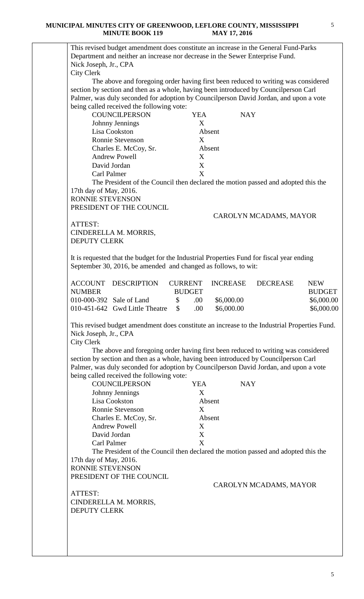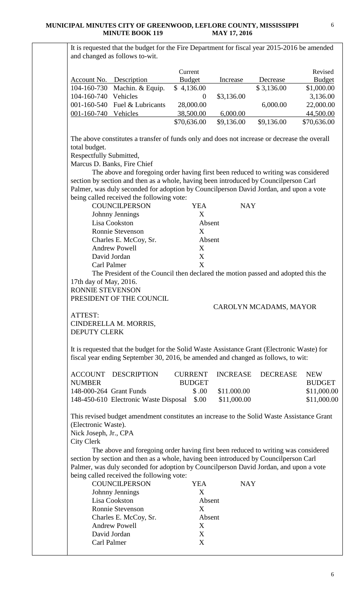It is requested that the budget for the Fire Department for fiscal year 2015-2016 be amended and changed as follows to-wit.

|                                |                                 | Current       |            |            | Revised       |
|--------------------------------|---------------------------------|---------------|------------|------------|---------------|
| <b>Account No.</b> Description |                                 | <b>Budget</b> | Increase   | Decrease   | <b>Budget</b> |
|                                | 104-160-730 Machin. & Equip.    | \$4,136.00    |            | \$3,136.00 | \$1,000.00    |
| 104-160-740 Vehicles           |                                 |               | \$3,136.00 |            | 3,136.00      |
|                                | 001-160-540 Fuel $&$ Lubricants | 28,000.00     |            | 6,000.00   | 22,000.00     |
| 001-160-740 Vehicles           |                                 | 38,500.00     | 6,000.00   |            | 44,500.00     |
|                                |                                 | \$70,636.00   | \$9,136.00 | \$9,136.00 | \$70,636.00   |

The above constitutes a transfer of funds only and does not increase or decrease the overall total budget.

Respectfully Submitted,

Marcus D. Banks, Fire Chief

 The above and foregoing order having first been reduced to writing was considered section by section and then as a whole, having been introduced by Councilperson Carl Palmer, was duly seconded for adoption by Councilperson David Jordan, and upon a vote being called received the following vote:

| <b>COUNCILPERSON</b>  | YEA    | NAY |
|-----------------------|--------|-----|
| Johnny Jennings       | X      |     |
| Lisa Cookston         | Absent |     |
| Ronnie Stevenson      | X      |     |
| Charles E. McCoy, Sr. | Absent |     |
| <b>Andrew Powell</b>  | X      |     |
| David Jordan          | X      |     |
| Carl Palmer           | x      |     |

The President of the Council then declared the motion passed and adopted this the 17th day of May, 2016.

RONNIE STEVENSON

PRESIDENT OF THE COUNCIL

#### CAROLYN MCADAMS, MAYOR

ATTEST: CINDERELLA M. MORRIS, DEPUTY CLERK

It is requested that the budget for the Solid Waste Assistance Grant (Electronic Waste) for fiscal year ending September 30, 2016, be amended and changed as follows, to wit:

|                         | ACCOUNT DESCRIPTION                         | <b>CURRENT</b> |             | INCREASE DECREASE | <b>NEW</b>    |
|-------------------------|---------------------------------------------|----------------|-------------|-------------------|---------------|
| <b>NUMBER</b>           |                                             | <b>BUDGET</b>  |             |                   | <b>BUDGET</b> |
| 148-000-264 Grant Funds |                                             | \$ 00          | \$11.000.00 |                   | \$11,000.00   |
|                         | 148-450-610 Electronic Waste Disposal \$.00 |                | \$11,000.00 |                   | \$11,000.00   |

This revised budget amendment constitutes an increase to the Solid Waste Assistance Grant (Electronic Waste).

Nick Joseph, Jr., CPA City Clerk

 The above and foregoing order having first been reduced to writing was considered section by section and then as a whole, having been introduced by Councilperson Carl Palmer, was duly seconded for adoption by Councilperson David Jordan, and upon a vote being called received the following vote:

| <b>COUNCILPERSON</b>  | YEA    | <b>NAY</b> |
|-----------------------|--------|------------|
| Johnny Jennings       | X      |            |
| Lisa Cookston         | Absent |            |
| Ronnie Stevenson      | X      |            |
| Charles E. McCoy, Sr. | Absent |            |
| <b>Andrew Powell</b>  | X      |            |
| David Jordan          | X      |            |
| Carl Palmer           | X      |            |
|                       |        |            |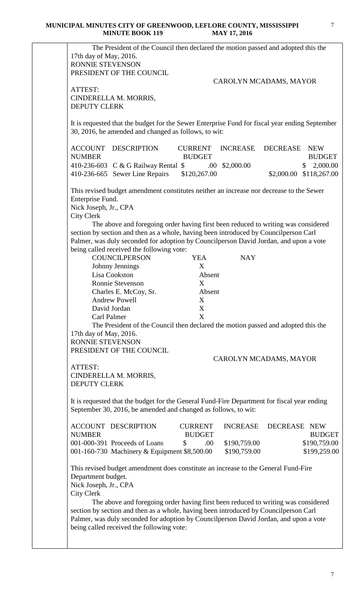| 17th day of May, 2016.                    | The President of the Council then declared the motion passed and adopted this the                                                                                         |                                 |                        |                 |                         |
|-------------------------------------------|---------------------------------------------------------------------------------------------------------------------------------------------------------------------------|---------------------------------|------------------------|-----------------|-------------------------|
| RONNIE STEVENSON                          |                                                                                                                                                                           |                                 |                        |                 |                         |
|                                           | PRESIDENT OF THE COUNCIL                                                                                                                                                  |                                 |                        |                 |                         |
| ATTEST:                                   |                                                                                                                                                                           |                                 | CAROLYN MCADAMS, MAYOR |                 |                         |
|                                           | CINDERELLA M. MORRIS,                                                                                                                                                     |                                 |                        |                 |                         |
| <b>DEPUTY CLERK</b>                       |                                                                                                                                                                           |                                 |                        |                 |                         |
|                                           |                                                                                                                                                                           |                                 |                        |                 |                         |
|                                           | It is requested that the budget for the Sewer Enterprise Fund for fiscal year ending September<br>30, 2016, be amended and changed as follows, to wit:                    |                                 |                        |                 |                         |
|                                           | <b>ACCOUNT DESCRIPTION</b>                                                                                                                                                | <b>CURRENT</b>                  | <b>INCREASE</b>        | <b>DECREASE</b> | <b>NEW</b>              |
| <b>NUMBER</b>                             |                                                                                                                                                                           | <b>BUDGET</b>                   |                        |                 | <b>BUDGET</b>           |
|                                           | 410-236-603 C & G Railway Rental \$                                                                                                                                       |                                 | $.00$ \$2,000.00       |                 | 2,000.00<br>\$          |
|                                           | 410-236-665 Sewer Line Repairs                                                                                                                                            | \$120,267.00                    |                        |                 | \$2,000.00 \$118,267.00 |
|                                           | This revised budget amendment constitutes neither an increase nor decrease to the Sewer                                                                                   |                                 |                        |                 |                         |
| Enterprise Fund.<br>Nick Joseph, Jr., CPA |                                                                                                                                                                           |                                 |                        |                 |                         |
| <b>City Clerk</b>                         |                                                                                                                                                                           |                                 |                        |                 |                         |
|                                           | The above and foregoing order having first been reduced to writing was considered                                                                                         |                                 |                        |                 |                         |
|                                           | section by section and then as a whole, having been introduced by Councilperson Carl                                                                                      |                                 |                        |                 |                         |
|                                           | Palmer, was duly seconded for adoption by Councilperson David Jordan, and upon a vote                                                                                     |                                 |                        |                 |                         |
|                                           | being called received the following vote:                                                                                                                                 |                                 |                        |                 |                         |
|                                           | <b>COUNCILPERSON</b><br>Johnny Jennings                                                                                                                                   | <b>YEA</b><br>X                 | <b>NAY</b>             |                 |                         |
|                                           | Lisa Cookston                                                                                                                                                             | Absent                          |                        |                 |                         |
|                                           | Ronnie Stevenson                                                                                                                                                          | X                               |                        |                 |                         |
|                                           | Charles E. McCoy, Sr.                                                                                                                                                     | Absent                          |                        |                 |                         |
|                                           | <b>Andrew Powell</b>                                                                                                                                                      | X                               |                        |                 |                         |
|                                           | David Jordan                                                                                                                                                              | X                               |                        |                 |                         |
|                                           | Carl Palmer                                                                                                                                                               | X                               |                        |                 |                         |
|                                           | The President of the Council then declared the motion passed and adopted this the                                                                                         |                                 |                        |                 |                         |
| 17th day of May, 2016.                    |                                                                                                                                                                           |                                 |                        |                 |                         |
| RONNIE STEVENSON                          | PRESIDENT OF THE COUNCIL                                                                                                                                                  |                                 |                        |                 |                         |
|                                           |                                                                                                                                                                           |                                 | CAROLYN MCADAMS, MAYOR |                 |                         |
| ATTEST:                                   |                                                                                                                                                                           |                                 |                        |                 |                         |
|                                           | CINDERELLA M. MORRIS,                                                                                                                                                     |                                 |                        |                 |                         |
| <b>DEPUTY CLERK</b>                       |                                                                                                                                                                           |                                 |                        |                 |                         |
|                                           | It is requested that the budget for the General Fund-Fire Department for fiscal year ending<br>September 30, 2016, be amended and changed as follows, to wit:             |                                 |                        |                 |                         |
| <b>NUMBER</b>                             | <b>ACCOUNT DESCRIPTION</b>                                                                                                                                                | <b>CURRENT</b><br><b>BUDGET</b> | <b>INCREASE</b>        | DECREASE NEW    | <b>BUDGET</b>           |
|                                           | 001-000-391 Proceeds of Loans                                                                                                                                             | \$<br>.00.                      | \$190,759.00           |                 | \$190,759.00            |
|                                           | 001-160-730 Machinery & Equipment \$8,500.00                                                                                                                              |                                 | \$190,759.00           |                 | \$199,259.00            |
|                                           |                                                                                                                                                                           |                                 |                        |                 |                         |
|                                           | This revised budget amendment does constitute an increase to the General Fund-Fire                                                                                        |                                 |                        |                 |                         |
| Department budget.                        |                                                                                                                                                                           |                                 |                        |                 |                         |
| Nick Joseph, Jr., CPA                     |                                                                                                                                                                           |                                 |                        |                 |                         |
| <b>City Clerk</b>                         |                                                                                                                                                                           |                                 |                        |                 |                         |
|                                           | The above and foregoing order having first been reduced to writing was considered<br>section by section and then as a whole, having been introduced by Councilperson Carl |                                 |                        |                 |                         |
|                                           | Palmer, was duly seconded for adoption by Councilperson David Jordan, and upon a vote                                                                                     |                                 |                        |                 |                         |
|                                           | being called received the following vote:                                                                                                                                 |                                 |                        |                 |                         |
|                                           |                                                                                                                                                                           |                                 |                        |                 |                         |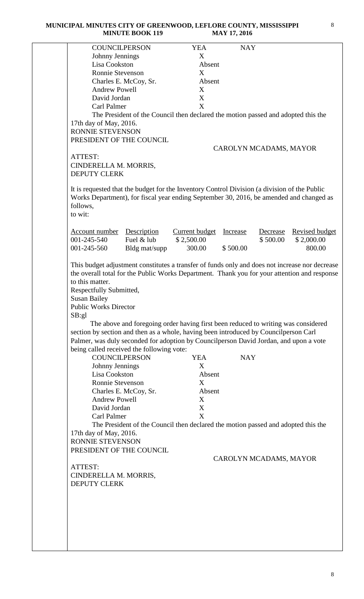### **MUNICIPAL MINUTES CITY OF GREENWOOD, LEFLORE COUNTY, MISSISSIPPI MINUTE BOOK 119**

| COUNCILPERSON                                                                                  |               | <b>YEA</b>                                                                        | <b>NAY</b>             |          |                       |
|------------------------------------------------------------------------------------------------|---------------|-----------------------------------------------------------------------------------|------------------------|----------|-----------------------|
| Johnny Jennings                                                                                |               | X                                                                                 |                        |          |                       |
| Lisa Cookston                                                                                  |               | Absent                                                                            |                        |          |                       |
| Ronnie Stevenson                                                                               |               | X                                                                                 |                        |          |                       |
| Charles E. McCoy, Sr.                                                                          |               | Absent                                                                            |                        |          |                       |
| <b>Andrew Powell</b>                                                                           |               | X                                                                                 |                        |          |                       |
| David Jordan                                                                                   |               | $\boldsymbol{X}$                                                                  |                        |          |                       |
| Carl Palmer                                                                                    |               | X                                                                                 |                        |          |                       |
|                                                                                                |               | The President of the Council then declared the motion passed and adopted this the |                        |          |                       |
| 17th day of May, 2016.                                                                         |               |                                                                                   |                        |          |                       |
| RONNIE STEVENSON                                                                               |               |                                                                                   |                        |          |                       |
| PRESIDENT OF THE COUNCIL                                                                       |               |                                                                                   |                        |          |                       |
|                                                                                                |               |                                                                                   | CAROLYN MCADAMS, MAYOR |          |                       |
| ATTEST:                                                                                        |               |                                                                                   |                        |          |                       |
| CINDERELLA M. MORRIS,                                                                          |               |                                                                                   |                        |          |                       |
| <b>DEPUTY CLERK</b>                                                                            |               |                                                                                   |                        |          |                       |
|                                                                                                |               |                                                                                   |                        |          |                       |
| It is requested that the budget for the Inventory Control Division (a division of the Public   |               |                                                                                   |                        |          |                       |
| Works Department), for fiscal year ending September 30, 2016, be amended and changed as        |               |                                                                                   |                        |          |                       |
| follows,                                                                                       |               |                                                                                   |                        |          |                       |
| to wit:                                                                                        |               |                                                                                   |                        |          |                       |
|                                                                                                |               |                                                                                   |                        |          |                       |
| <b>Account number</b>                                                                          | Description   | Current budget                                                                    | Increase               | Decrease | <b>Revised budget</b> |
| 001-245-540                                                                                    | Fuel & lub    | \$2,500.00                                                                        |                        | \$500.00 | \$2,000.00            |
| 001-245-560                                                                                    | Bldg mat/supp | 300.00                                                                            | \$500.00               |          | 800.00                |
| This budget adjustment constitutes a transfer of funds only and does not increase nor decrease |               |                                                                                   |                        |          |                       |
| the overall total for the Public Works Department. Thank you for your attention and response   |               |                                                                                   |                        |          |                       |
| to this matter.                                                                                |               |                                                                                   |                        |          |                       |
| Respectfully Submitted,                                                                        |               |                                                                                   |                        |          |                       |
| <b>Susan Bailey</b>                                                                            |               |                                                                                   |                        |          |                       |
| <b>Public Works Director</b>                                                                   |               |                                                                                   |                        |          |                       |
| SB:gl                                                                                          |               |                                                                                   |                        |          |                       |
|                                                                                                |               | The above and foregoing order having first been reduced to writing was considered |                        |          |                       |
| section by section and then as a whole, having been introduced by Councilperson Carl           |               |                                                                                   |                        |          |                       |
| Palmer, was duly seconded for adoption by Councilperson David Jordan, and upon a vote          |               |                                                                                   |                        |          |                       |
| being called received the following vote:                                                      |               |                                                                                   |                        |          |                       |
| <b>COUNCILPERSON</b>                                                                           |               | <b>YEA</b>                                                                        | <b>NAY</b>             |          |                       |
| Johnny Jennings                                                                                |               | X                                                                                 |                        |          |                       |
| Lisa Cookston                                                                                  |               | Absent                                                                            |                        |          |                       |
| Ronnie Stevenson                                                                               |               | X                                                                                 |                        |          |                       |
| Charles E. McCoy, Sr.                                                                          |               | Absent                                                                            |                        |          |                       |
| <b>Andrew Powell</b>                                                                           |               | X                                                                                 |                        |          |                       |
| David Jordan                                                                                   |               | X                                                                                 |                        |          |                       |
| Carl Palmer                                                                                    |               | X                                                                                 |                        |          |                       |
|                                                                                                |               | The President of the Council then declared the motion passed and adopted this the |                        |          |                       |
|                                                                                                |               |                                                                                   |                        |          |                       |
| 17th day of May, 2016.                                                                         |               |                                                                                   |                        |          |                       |
| RONNIE STEVENSON                                                                               |               |                                                                                   |                        |          |                       |
| PRESIDENT OF THE COUNCIL                                                                       |               |                                                                                   |                        |          |                       |
|                                                                                                |               |                                                                                   | CAROLYN MCADAMS, MAYOR |          |                       |
| ATTEST:                                                                                        |               |                                                                                   |                        |          |                       |
| CINDERELLA M. MORRIS,                                                                          |               |                                                                                   |                        |          |                       |
| <b>DEPUTY CLERK</b>                                                                            |               |                                                                                   |                        |          |                       |
|                                                                                                |               |                                                                                   |                        |          |                       |
|                                                                                                |               |                                                                                   |                        |          |                       |
|                                                                                                |               |                                                                                   |                        |          |                       |
|                                                                                                |               |                                                                                   |                        |          |                       |
|                                                                                                |               |                                                                                   |                        |          |                       |
|                                                                                                |               |                                                                                   |                        |          |                       |
|                                                                                                |               |                                                                                   |                        |          |                       |
|                                                                                                |               |                                                                                   |                        |          |                       |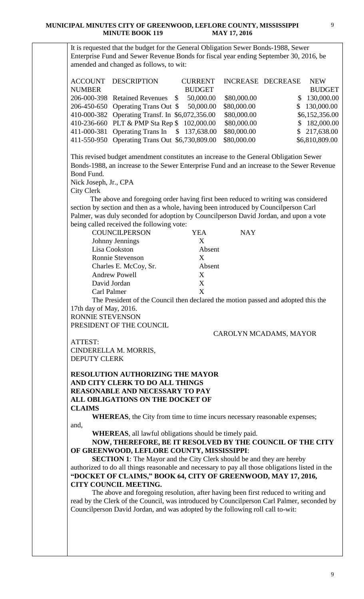It is requested that the budget for the General Obligation Sewer Bonds-1988, Sewer Enterprise Fund and Sewer Revenue Bonds for fiscal year ending September 30, 2016, be amended and changed as follows, to wit:

|               | <b>ACCOUNT DESCRIPTION</b>                      | <b>CURRENT</b> |             | INCREASE DECREASE | <b>NEW</b>     |
|---------------|-------------------------------------------------|----------------|-------------|-------------------|----------------|
| <b>NUMBER</b> |                                                 | <b>BUDGET</b>  |             |                   | <b>BUDGET</b>  |
|               | 206-000-398 Retained Revenues \$                | 50,000.00      | \$80,000.00 |                   | \$130,000.00   |
|               | 206-450-650 Operating Trans Out \$              | 50,000.00      | \$80,000.00 |                   | \$130,000.00   |
|               | 410-000-382 Operating Transf. In \$6,072,356.00 |                | \$80,000.00 |                   | \$6,152,356.00 |
|               | 410-236-660 PLT & PMP Sta Rep \$ 102,000.00     |                | \$80,000.00 |                   | \$182,000.00   |
|               | 411-000-381 Operating Trans In \$ 137,638.00    |                | \$80,000.00 |                   | \$217,638.00   |
|               | 411-550-950 Operating Trans Out \$6,730,809.00  |                | \$80,000.00 |                   | \$6,810,809.00 |

This revised budget amendment constitutes an increase to the General Obligation Sewer Bonds-1988, an increase to the Sewer Enterprise Fund and an increase to the Sewer Revenue Bond Fund.

Nick Joseph, Jr., CPA

City Clerk

 The above and foregoing order having first been reduced to writing was considered section by section and then as a whole, having been introduced by Councilperson Carl Palmer, was duly seconded for adoption by Councilperson David Jordan, and upon a vote being called received the following vote:

| <b>COUNCILPERSON</b>    | YEA    | NAY |
|-------------------------|--------|-----|
| Johnny Jennings         | X      |     |
| Lisa Cookston           | Absent |     |
| <b>Ronnie Stevenson</b> | X      |     |
| Charles E. McCoy, Sr.   | Absent |     |
| <b>Andrew Powell</b>    | X      |     |
| David Jordan            | X      |     |
| Carl Palmer             | v      |     |

The President of the Council then declared the motion passed and adopted this the 17th day of May, 2016.

RONNIE STEVENSON PRESIDENT OF THE COUNCIL

### CAROLYN MCADAMS, MAYOR

ATTEST: CINDERELLA M. MORRIS, DEPUTY CLERK

## **RESOLUTION AUTHORIZING THE MAYOR AND CITY CLERK TO DO ALL THINGS REASONABLE AND NECESSARY TO PAY ALL OBLIGATIONS ON THE DOCKET OF CLAIMS**

**WHEREAS**, the City from time to time incurs necessary reasonable expenses; and,

**WHEREAS**, all lawful obligations should be timely paid.

### **NOW, THEREFORE, BE IT RESOLVED BY THE COUNCIL OF THE CITY OF GREENWOOD, LEFLORE COUNTY, MISSISSIPPI**:

**SECTION 1**: The Mayor and the City Clerk should be and they are hereby authorized to do all things reasonable and necessary to pay all those obligations listed in the **"DOCKET OF CLAIMS," BOOK 64, CITY OF GREENWOOD, MAY 17, 2016, CITY COUNCIL MEETING.**

The above and foregoing resolution, after having been first reduced to writing and read by the Clerk of the Council, was introduced by Councilperson Carl Palmer, seconded by Councilperson David Jordan, and was adopted by the following roll call to-wit: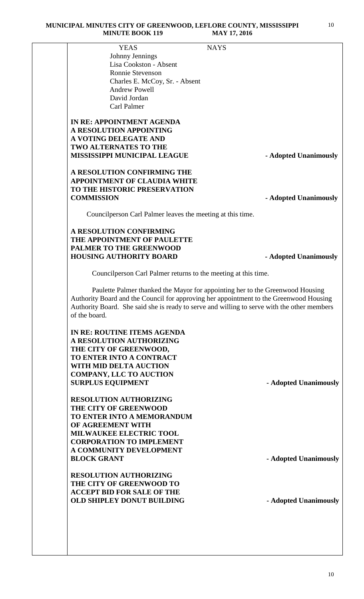YEAS NAYS Johnny Jennings Lisa Cookston - Absent Ronnie Stevenson Charles E. McCoy, Sr. - Absent Andrew Powell David Jordan Carl Palmer **IN RE: APPOINTMENT AGENDA A RESOLUTION APPOINTING A VOTING DELEGATE AND TWO ALTERNATES TO THE MISSISSIPPI MUNICIPAL LEAGUE - Adopted Unanimously A RESOLUTION CONFIRMING THE APPOINTMENT OF CLAUDIA WHITE TO THE HISTORIC PRESERVATION COMMISSION - Adopted Unanimously** Councilperson Carl Palmer leaves the meeting at this time. **A RESOLUTION CONFIRMING THE APPOINTMENT OF PAULETTE PALMER TO THE GREENWOOD HOUSING AUTHORITY BOARD - Adopted Unanimously** Councilperson Carl Palmer returns to the meeting at this time. Paulette Palmer thanked the Mayor for appointing her to the Greenwood Housing Authority Board and the Council for approving her appointment to the Greenwood Housing Authority Board. She said she is ready to serve and willing to serve with the other members of the board. **IN RE: ROUTINE ITEMS AGENDA A RESOLUTION AUTHORIZING THE CITY OF GREENWOOD, TO ENTER INTO A CONTRACT WITH MID DELTA AUCTION COMPANY, LLC TO AUCTION SURPLUS EQUIPMENT** - **Adopted Unanimously RESOLUTION AUTHORIZING THE CITY OF GREENWOOD TO ENTER INTO A MEMORANDUM OF AGREEMENT WITH MILWAUKEE ELECTRIC TOOL CORPORATION TO IMPLEMENT A COMMUNITY DEVELOPMENT BLOCK GRANT** - **Adopted Unanimously RESOLUTION AUTHORIZING THE CITY OF GREENWOOD TO ACCEPT BID FOR SALE OF THE OLD SHIPLEY DONUT BUILDING - Adopted Unanimously** 

10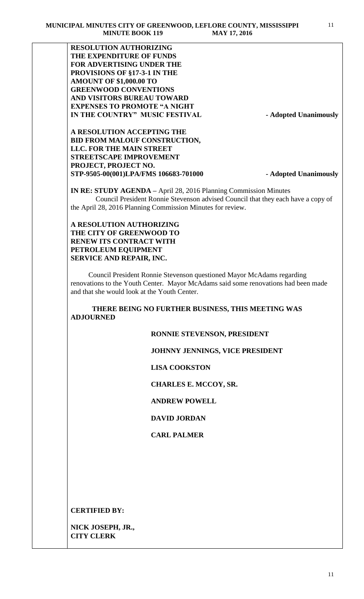**RESOLUTION AUTHORIZING THE EXPENDITURE OF FUNDS FOR ADVERTISING UNDER THE PROVISIONS OF §17-3-1 IN THE AMOUNT OF \$1,000.00 TO GREENWOOD CONVENTIONS AND VISITORS BUREAU TOWARD EXPENSES TO PROMOTE "A NIGHT IN THE COUNTRY" MUSIC FESTIVAL - Adopted Unanimously** 

**A RESOLUTION ACCEPTING THE BID FROM MALOUF CONSTRUCTION, LLC. FOR THE MAIN STREET STREETSCAPE IMPROVEMENT PROJECT, PROJECT NO. STP-9505-00(001)LPA/FMS 106683-701000 - Adopted Unanimously**

**IN RE: STUDY AGENDA –** April 28, 2016 Planning Commission Minutes Council President Ronnie Stevenson advised Council that they each have a copy of the April 28, 2016 Planning Commission Minutes for review.

**A RESOLUTION AUTHORIZING THE CITY OF GREENWOOD TO RENEW ITS CONTRACT WITH PETROLEUM EQUIPMENT SERVICE AND REPAIR, INC.** 

Council President Ronnie Stevenson questioned Mayor McAdams regarding renovations to the Youth Center. Mayor McAdams said some renovations had been made and that she would look at the Youth Center.

 **THERE BEING NO FURTHER BUSINESS, THIS MEETING WAS ADJOURNED** 

## **RONNIE STEVENSON, PRESIDENT**

### **JOHNNY JENNINGS, VICE PRESIDENT**

## **LISA COOKSTON**

 **CHARLES E. MCCOY, SR.** 

### **ANDREW POWELL**

 **DAVID JORDAN**

## **CARL PALMER**

**CERTIFIED BY:**

**NICK JOSEPH, JR., CITY CLERK**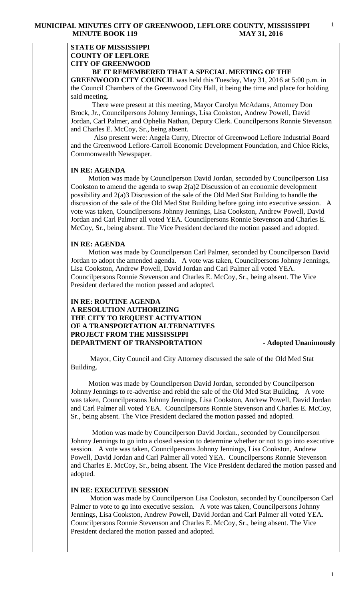#### **STATE OF MISSISSIPPI COUNTY OF LEFLORE CITY OF GREENWOOD BE IT REMEMBERED THAT A SPECIAL MEETING OF THE**

**GREENWOOD CITY COUNCIL** was held this Tuesday, May 31, 2016 at 5:00 p.m. in the Council Chambers of the Greenwood City Hall, it being the time and place for holding said meeting.

There were present at this meeting, Mayor Carolyn McAdams, Attorney Don Brock, Jr., Councilpersons Johnny Jennings, Lisa Cookston, Andrew Powell, David Jordan, Carl Palmer, and Ophelia Nathan, Deputy Clerk. Councilpersons Ronnie Stevenson and Charles E. McCoy, Sr., being absent.

 Also present were: Angela Curry, Director of Greenwood Leflore Industrial Board and the Greenwood Leflore-Carroll Economic Development Foundation, and Chloe Ricks, Commonwealth Newspaper.

## **IN RE: AGENDA**

 Motion was made by Councilperson David Jordan, seconded by Councilperson Lisa Cookston to amend the agenda to swap 2(a)2 Discussion of an economic development possibility and 2(a)3 Discussion of the sale of the Old Med Stat Building to handle the discussion of the sale of the Old Med Stat Building before going into executive session. A vote was taken, Councilpersons Johnny Jennings, Lisa Cookston, Andrew Powell, David Jordan and Carl Palmer all voted YEA. Councilpersons Ronnie Stevenson and Charles E. McCoy, Sr., being absent. The Vice President declared the motion passed and adopted.

## **IN RE: AGENDA**

 Motion was made by Councilperson Carl Palmer, seconded by Councilperson David Jordan to adopt the amended agenda. A vote was taken, Councilpersons Johnny Jennings, Lisa Cookston, Andrew Powell, David Jordan and Carl Palmer all voted YEA. Councilpersons Ronnie Stevenson and Charles E. McCoy, Sr., being absent. The Vice President declared the motion passed and adopted.

### **IN RE: ROUTINE AGENDA A RESOLUTION AUTHORIZING THE CITY TO REQUEST ACTIVATION OF A TRANSPORTATION ALTERNATIVES PROJECT FROM THE MISSISSIPPI DEPARTMENT OF TRANSPORTATION - Adopted Unanimously**

 Mayor, City Council and City Attorney discussed the sale of the Old Med Stat Building.

 Motion was made by Councilperson David Jordan, seconded by Councilperson Johnny Jennings to re-advertise and rebid the sale of the Old Med Stat Building. A vote was taken, Councilpersons Johnny Jennings, Lisa Cookston, Andrew Powell, David Jordan and Carl Palmer all voted YEA. Councilpersons Ronnie Stevenson and Charles E. McCoy, Sr., being absent. The Vice President declared the motion passed and adopted.

 Motion was made by Councilperson David Jordan., seconded by Councilperson Johnny Jennings to go into a closed session to determine whether or not to go into executive session. A vote was taken, Councilpersons Johnny Jennings, Lisa Cookston, Andrew Powell, David Jordan and Carl Palmer all voted YEA. Councilpersons Ronnie Stevenson and Charles E. McCoy, Sr., being absent. The Vice President declared the motion passed and adopted.

### **IN RE: EXECUTIVE SESSION**

 Motion was made by Councilperson Lisa Cookston, seconded by Councilperson Carl Palmer to vote to go into executive session. A vote was taken, Councilpersons Johnny Jennings, Lisa Cookston, Andrew Powell, David Jordan and Carl Palmer all voted YEA. Councilpersons Ronnie Stevenson and Charles E. McCoy, Sr., being absent. The Vice President declared the motion passed and adopted.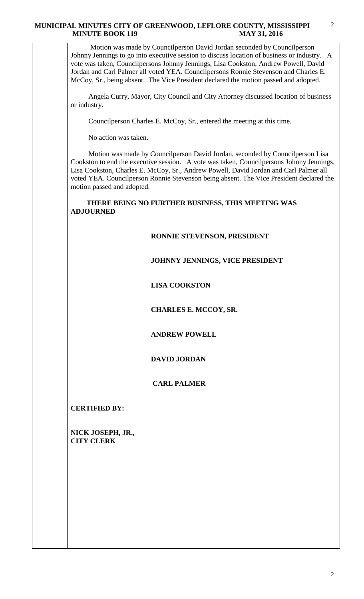### **MUNICIPAL MINUTES CITY OF GREENWOOD, LEFLORE COUNTY, MISSISSIPPI MINUTE BOOK 119 MAY 31, 2016**

 Motion was made by Councilperson David Jordan seconded by Councilperson Johnny Jennings to go into executive session to discuss location of business or industry. A vote was taken, Councilpersons Johnny Jennings, Lisa Cookston, Andrew Powell, David Jordan and Carl Palmer all voted YEA. Councilpersons Ronnie Stevenson and Charles E. McCoy, Sr., being absent. The Vice President declared the motion passed and adopted.

 Angela Curry, Mayor, City Council and City Attorney discussed location of business or industry.

Councilperson Charles E. McCoy, Sr., entered the meeting at this time.

No action was taken.

 Motion was made by Councilperson David Jordan, seconded by Councilperson Lisa Cookston to end the executive session. A vote was taken, Councilpersons Johnny Jennings, Lisa Cookston, Charles E. McCoy, Sr., Andrew Powell, David Jordan and Carl Palmer all voted YEA. Councilperson Ronnie Stevenson being absent. The Vice President declared the motion passed and adopted.

 **THERE BEING NO FURTHER BUSINESS, THIS MEETING WAS ADJOURNED**

## **RONNIE STEVENSON, PRESIDENT**

### **JOHNNY JENNINGS, VICE PRESIDENT**

 **LISA COOKSTON**

 **CHARLES E. MCCOY, SR.**

 **ANDREW POWELL**

## **DAVID JORDAN**

### **CARL PALMER**

**CERTIFIED BY:**

**NICK JOSEPH, JR., CITY CLERK**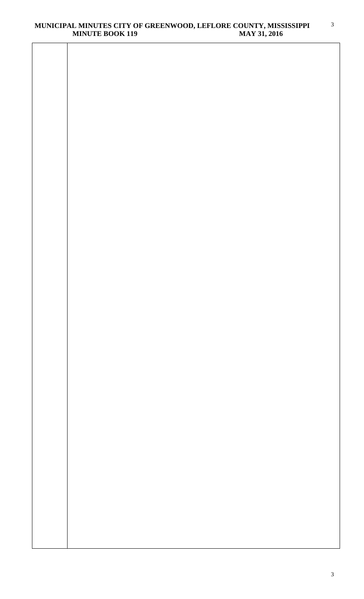### **MUNICIPAL MINUTES CITY OF GREENWOOD, LEFLORE COUNTY, MISSISSIPPI MINUTE BOOK 119 MAY 31, 2016**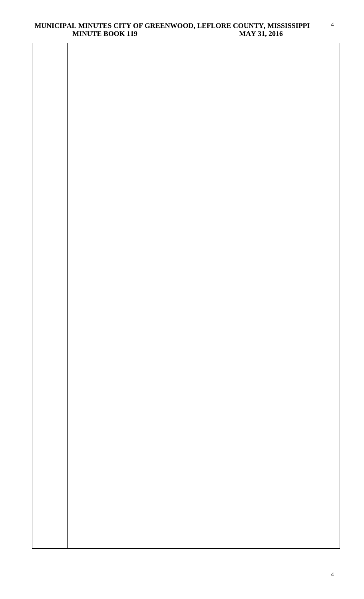### **MUNICIPAL MINUTES CITY OF GREENWOOD, LEFLORE COUNTY, MISSISSIPPI MINUTE BOOK 119 MAY 31, 2016**